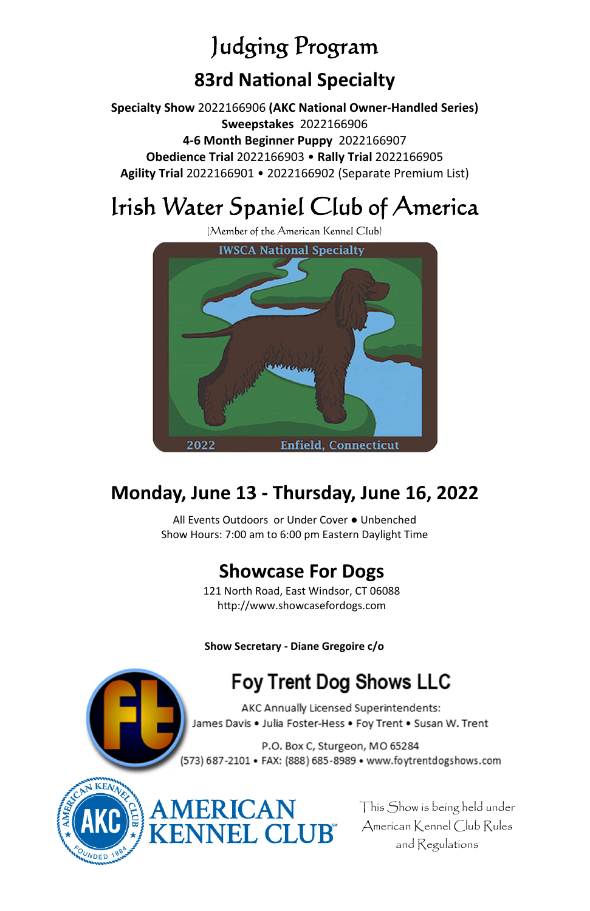# Judging Program **83rd NaƟonal Specialty**

**Specialty Show** 2022166906 **(AKC National Owner-Handled Series) Sweepstakes** 2022166906 **4-6 Month Beginner Puppy** 2022166907 **Obedience Trial** 2022166903 • **Rally Trial** 2022166905 **Agility Trial** 2022166901 • 2022166902 (Separate Premium List)

# Irish Water Spaniel Club of America



# **Monday, June 13 - Thursday, June 16, 2022**

All Events Outdoors or Under Cover ● Unbenched Show Hours: 7:00 am to 6:00 pm Eastern Daylight Time

# **Showcase For Dogs**

121 North Road, East Windsor, CT 06088 http://www.showcasefordogs.com

**Show Secretary - Diane Gregoire c/o** 

ERICAN

**JEL CLUR®** 

# **Foy Trent Dog Shows LLC**

AKC Annually Licensed Superintendents: James Davis . Julia Foster-Hess . Foy Trent . Susan W. Trent

P.O. Box C, Sturgeon, MO 65284 (573) 687-2101 · FAX: (888) 685-8989 · www.foytrentdogshows.com



This Show is being held under American Kennel Club Rules and Regulations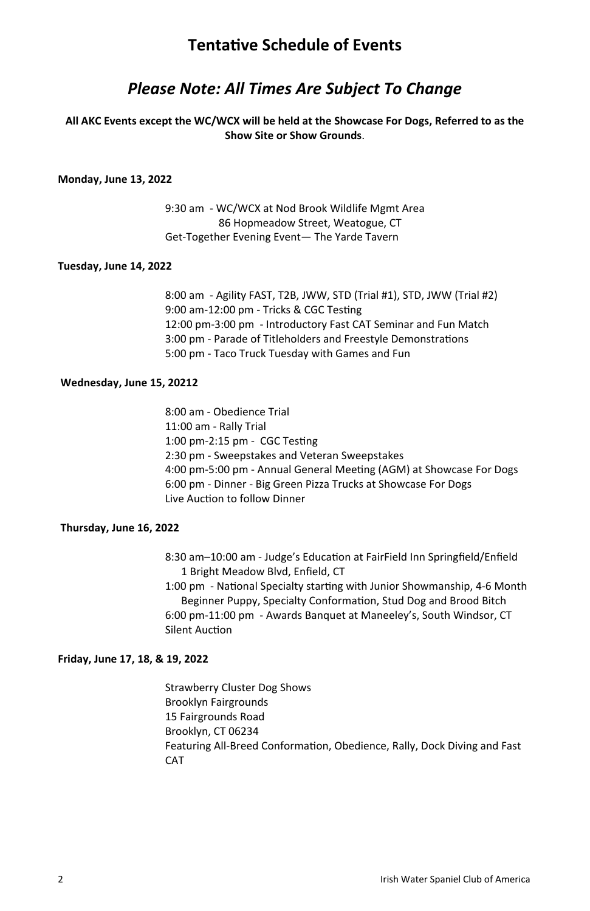## **TentaƟve Schedule of Events**

## *Please Note: All Times Are Subject To Change*

#### **All AKC Events except the WC/WCX will be held at the Showcase For Dogs, Referred to as the Show Site or Show Grounds**.

#### **Monday, June 13, 2022**

 9:30 am - WC/WCX at Nod Brook Wildlife Mgmt Area 86 Hopmeadow Street, Weatogue, CT Get-Together Evening Event— The Yarde Tavern

#### **Tuesday, June 14, 2022**

 8:00 am - Agility FAST, T2B, JWW, STD (Trial #1), STD, JWW (Trial #2) 9:00 am-12:00 pm - Tricks & CGC Testing 12:00 pm-3:00 pm - Introductory Fast CAT Seminar and Fun Match 3:00 pm - Parade of Titleholders and Freestyle Demonstrations 5:00 pm - Taco Truck Tuesday with Games and Fun

#### **Wednesday, June 15, 20212**

 8:00 am - Obedience Trial 11:00 am - Rally Trial 1:00 pm-2:15 pm - CGC Testing 2:30 pm - Sweepstakes and Veteran Sweepstakes 4:00 pm-5:00 pm - Annual General Meeting (AGM) at Showcase For Dogs 6:00 pm - Dinner - Big Green Pizza Trucks at Showcase For Dogs Live Auction to follow Dinner

#### **Thursday, June 16, 2022**

8:30 am-10:00 am - Judge's Education at FairField Inn Springfield/Enfield 1 Bright Meadow Blvd, Enfield, CT

1:00 pm - National Specialty starting with Junior Showmanship, 4-6 Month Beginner Puppy, Specialty Conformation, Stud Dog and Brood Bitch 6:00 pm-11:00 pm - Awards Banquet at Maneeley's, South Windsor, CT Silent Auction

#### **Friday, June 17, 18, & 19, 2022**

 Strawberry Cluster Dog Shows Brooklyn Fairgrounds 15 Fairgrounds Road Brooklyn, CT 06234 Featuring All-Breed Conformation, Obedience, Rally, Dock Diving and Fast CAT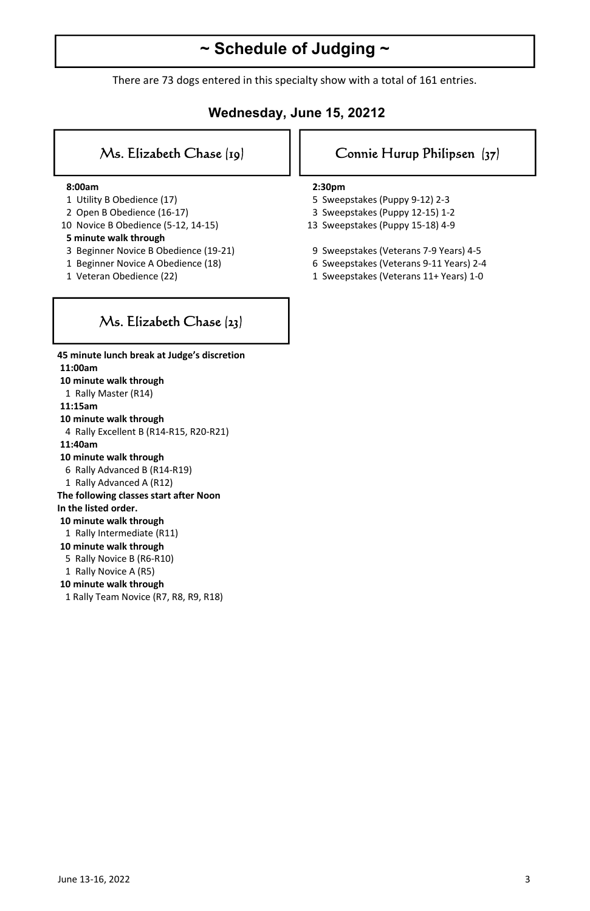# **~ Schedule of Judging ~**

There are 73 dogs entered in this specialty show with a total of 161 entries.

#### **Wednesday, June 15, 20212**

#### **8:00am**

- 1 Utility B Obedience (17)
- 2 Open B Obedience (16-17)
- 10 Novice B Obedience (5-12, 14-15)

#### **5 minute walk through**

- 3 Beginner Novice B Obedience (19-21)
- 1 Beginner Novice A Obedience (18)
- 1 Veteran Obedience (22)

#### Ms. Elizabeth Chase  $[y]$  | | Connie Hurup Philipsen  $[y7]$

#### **2:30pm**

- 5 Sweepstakes (Puppy 9-12) 2-3
- 3 Sweepstakes (Puppy 12-15) 1-2
- 13 Sweepstakes (Puppy 15-18) 4-9
- 9 Sweepstakes (Veterans 7-9 Years) 4-5
- 6 Sweepstakes (Veterans 9-11 Years) 2-4
- 1 Sweepstakes (Veterans 11+ Years) 1-0

## Ms. Elizabeth Chase (23)

 **11:00am 10 minute walk through**  1 Rally Master (R14)  **11:15am 10 minute walk through**  4 Rally Excellent B (R14-R15, R20-R21)  **11:40am 10 minute walk through**  6 Rally Advanced B (R14-R19) 1 Rally Advanced A (R12) **The following classes start after Noon In the listed order.** 

**45 minute lunch break at Judge's discretion** 

#### **10 minute walk through**

- 1 Rally Intermediate (R11)
- **10 minute walk through**
- 5 Rally Novice B (R6-R10)
- 1 Rally Novice A (R5)
- **10 minute walk through**
- 1 Rally Team Novice (R7, R8, R9, R18)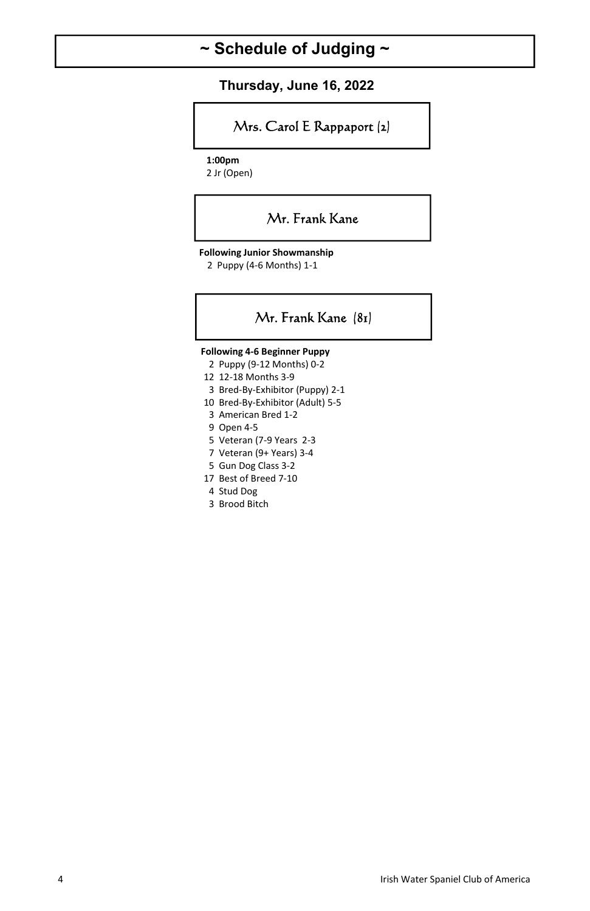# **~ Schedule of Judging ~**

 **Thursday, June 16, 2022** 

## Mrs. Carol E Rappaport (2)

 **1:00pm** 

2 Jr (Open)

#### Mr. Frank Kane

**Following Junior Showmanship** 

2 Puppy (4-6 Months) 1-1

#### Mr. Frank Kane (81)

**Following 4-6 Beginner Puppy** 

- 2 Puppy (9-12 Months) 0-2
- 12 12-18 Months 3-9
- 3 Bred-By-Exhibitor (Puppy) 2-1
- 10 Bred-By-Exhibitor (Adult) 5-5
- 3 American Bred 1-2
- 9 Open 4-5
- 5 Veteran (7-9 Years 2-3
- 7 Veteran (9+ Years) 3-4
- 5 Gun Dog Class 3-2
- 17 Best of Breed 7-10
- 4 Stud Dog
- 3 Brood Bitch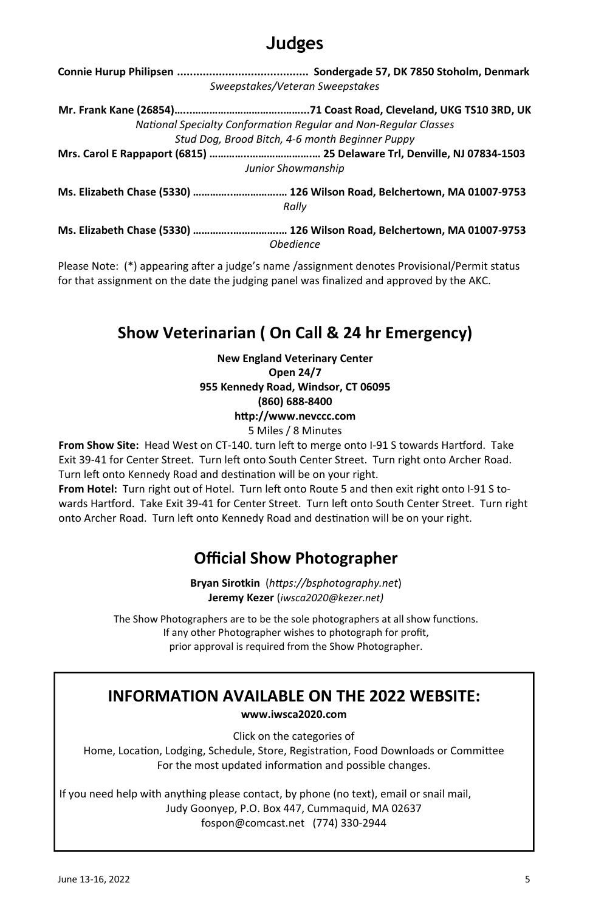# **Judges**

| Sweepstakes/Veteran Sweepstakes                                                  |
|----------------------------------------------------------------------------------|
|                                                                                  |
| National Specialty Conformation Regular and Non-Regular Classes                  |
| Stud Dog, Brood Bitch, 4-6 month Beginner Puppy                                  |
|                                                                                  |
| Junior Showmanship                                                               |
| Ms. Elizabeth Chase (5330)  126 Wilson Road, Belchertown, MA 01007-9753<br>Rally |
| Ms. Elizabeth Chase (5330)  126 Wilson Road, Belchertown, MA 01007-9753          |

*Obedience* 

Please Note: (\*) appearing after a judge's name /assignment denotes Provisional/Permit status for that assignment on the date the judging panel was finalized and approved by the AKC.

# **Show Veterinarian ( On Call & 24 hr Emergency)**

**New England Veterinary Center Open 24/7 955 Kennedy Road, Windsor, CT 06095 (860) 688-8400 hƩp://www.nevccc.com** 

5 Miles / 8 Minutes

From Show Site: Head West on CT-140. turn left to merge onto I-91 S towards Hartford. Take Exit 39-41 for Center Street. Turn left onto South Center Street. Turn right onto Archer Road. Turn left onto Kennedy Road and destination will be on your right.

From Hotel: Turn right out of Hotel. Turn left onto Route 5 and then exit right onto I-91 S towards Hartford. Take Exit 39-41 for Center Street. Turn left onto South Center Street. Turn right onto Archer Road. Turn left onto Kennedy Road and destination will be on your right.

# **Official Show Photographer**

**Bryan Sirotkin** (*hƩps://bsphotography.net*) **Jeremy Kezer** (*iwsca2020@kezer.net)*

The Show Photographers are to be the sole photographers at all show functions. If any other Photographer wishes to photograph for profit, prior approval is required from the Show Photographer.

# **INFORMATION AVAILABLE ON THE 2022 WEBSITE:**

**www.iwsca2020.com** 

Click on the categories of Home, Location, Lodging, Schedule, Store, Registration, Food Downloads or Committee For the most updated information and possible changes.

If you need help with anything please contact, by phone (no text), email or snail mail, Judy Goonyep, P.O. Box 447, Cummaquid, MA 02637 fospon@comcast.net (774) 330-2944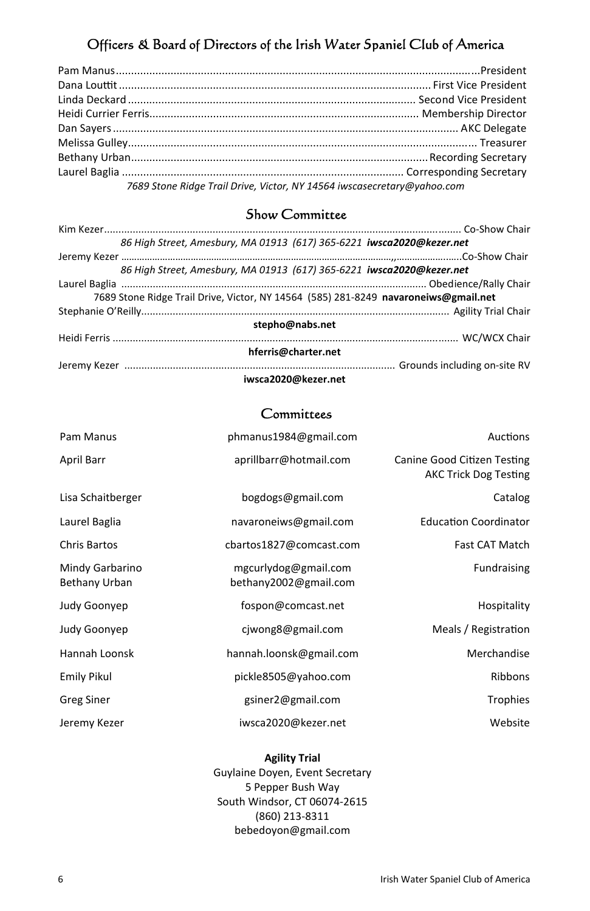## Officers & Board of Directors of the Irish Water Spaniel Club of America

| 7689 Stone Ridge Trail Drive, Victor, NY 14564 iwscasecretary@yahoo.com |  |  |
|-------------------------------------------------------------------------|--|--|

#### Show Committee

| 86 High Street, Amesbury, MA 01913 (617) 365-6221 iwsca2020@kezer.net               |
|-------------------------------------------------------------------------------------|
|                                                                                     |
| 86 High Street, Amesbury, MA 01913 (617) 365-6221 iwsca2020@kezer.net               |
|                                                                                     |
| 7689 Stone Ridge Trail Drive, Victor, NY 14564 (585) 281-8249 navaroneiws@gmail.net |
|                                                                                     |
| stepho@nabs.net                                                                     |
|                                                                                     |
| hferris@charter.net                                                                 |
|                                                                                     |
| iwsca2020@kezer.net                                                                 |

#### **Committees**

| Pam Manus                        | phmanus1984@gmail.com                         | Auctions                                                    |
|----------------------------------|-----------------------------------------------|-------------------------------------------------------------|
| April Barr                       | aprillbarr@hotmail.com                        | Canine Good Citizen Testing<br><b>AKC Trick Dog Testing</b> |
| Lisa Schaitberger                | bogdogs@gmail.com                             | Catalog                                                     |
| Laurel Baglia                    | navaroneiws@gmail.com                         | <b>Education Coordinator</b>                                |
| Chris Bartos                     | cbartos1827@comcast.com                       | <b>Fast CAT Match</b>                                       |
| Mindy Garbarino<br>Bethany Urban | mgcurlydog@gmail.com<br>bethany2002@gmail.com | Fundraising                                                 |
| Judy Goonyep                     | fospon@comcast.net                            | Hospitality                                                 |
| Judy Goonyep                     | cjwong8@gmail.com                             | Meals / Registration                                        |
| Hannah Loonsk                    | hannah.loonsk@gmail.com                       | Merchandise                                                 |
| <b>Emily Pikul</b>               | pickle8505@yahoo.com                          | Ribbons                                                     |
| <b>Greg Siner</b>                | gsiner2@gmail.com                             | <b>Trophies</b>                                             |
| Jeremy Kezer                     | iwsca2020@kezer.net                           | Website                                                     |

#### **Agility Trial**

Guylaine Doyen, Event Secretary 5 Pepper Bush Way South Windsor, CT 06074-2615 (860) 213-8311 bebedoyon@gmail.com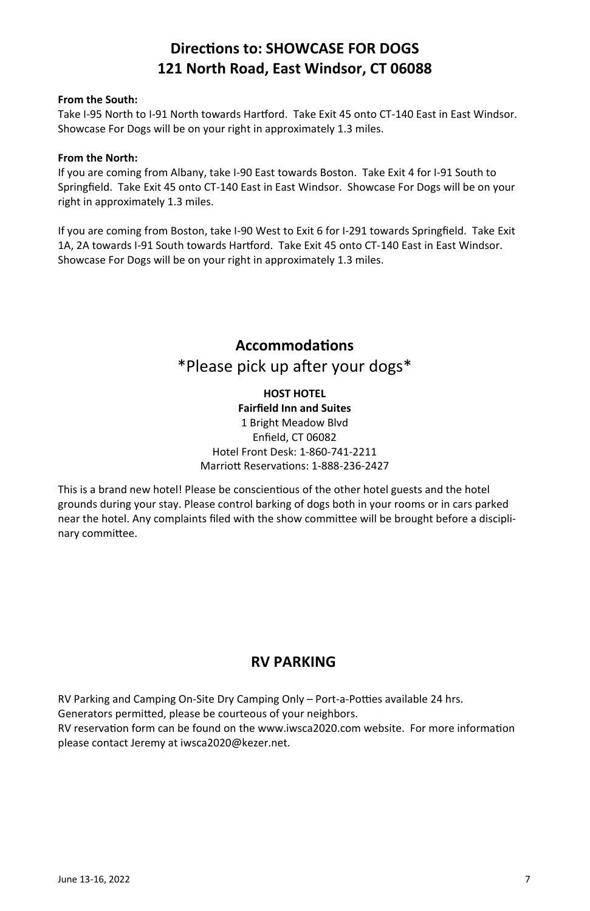# **DirecƟons to: SHOWCASE FOR DOGS 121 North Road, East Windsor, CT 06088**

#### **From the South:**

Take I-95 North to I-91 North towards Hartford. Take Exit 45 onto CT-140 East in East Windsor. Showcase For Dogs will be on your right in approximately 1.3 miles.

#### **From the North:**

If you are coming from Albany, take I-90 East towards Boston. Take Exit 4 for I-91 South to Springfield. Take Exit 45 onto CT-140 East in East Windsor. Showcase For Dogs will be on your right in approximately 1.3 miles.

If you are coming from Boston, take I-90 West to Exit 6 for I-291 towards Springfield. Take Exit 1A, 2A towards I-91 South towards Hartford. Take Exit 45 onto CT-140 East in East Windsor. Showcase For Dogs will be on your right in approximately 1.3 miles.

# **AccommodaƟons**  \*Please pick up after your dogs\*

**HOST HOTEL Fairfield Inn and Suites**  1 Bright Meadow Blvd Enfield, CT 06082 Hotel Front Desk: 1-860-741-2211 Marriott Reservations: 1-888-236-2427

This is a brand new hotel! Please be conscientious of the other hotel guests and the hotel grounds during your stay. Please control barking of dogs both in your rooms or in cars parked near the hotel. Any complaints filed with the show committee will be brought before a disciplinary committee.

#### **RV PARKING**

RV Parking and Camping On-Site Dry Camping Only – Port-a-Potties available 24 hrs.

Generators permitted, please be courteous of your neighbors.

RV reservation form can be found on the www.iwsca2020.com website. For more information please contact Jeremy at iwsca2020@kezer.net.